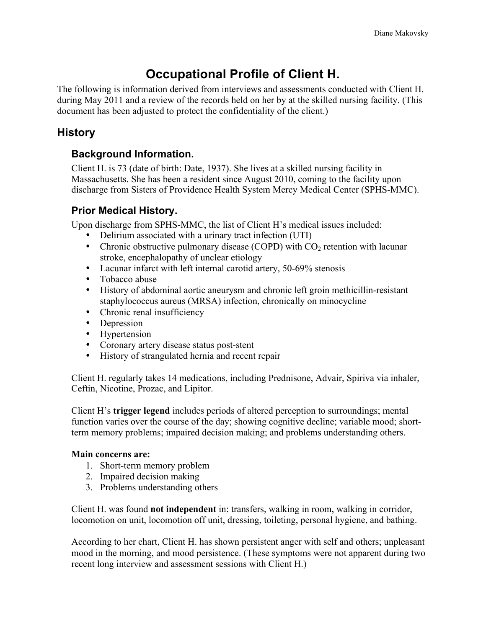# **Occupational Profile of Client H.**

The following is information derived from interviews and assessments conducted with Client H. during May 2011 and a review of the records held on her by at the skilled nursing facility. (This document has been adjusted to protect the confidentiality of the client.)

# **History**

## **Background Information.**

Client H. is 73 (date of birth: Date, 1937). She lives at a skilled nursing facility in Massachusetts. She has been a resident since August 2010, coming to the facility upon discharge from Sisters of Providence Health System Mercy Medical Center (SPHS-MMC).

## **Prior Medical History.**

Upon discharge from SPHS-MMC, the list of Client H's medical issues included:

- Delirium associated with a urinary tract infection (UTI)
- Chronic obstructive pulmonary disease (COPD) with  $CO<sub>2</sub>$  retention with lacunar stroke, encephalopathy of unclear etiology
- Lacunar infarct with left internal carotid artery, 50-69% stenosis
- Tobacco abuse
- History of abdominal aortic aneurysm and chronic left groin methicillin-resistant staphylococcus aureus (MRSA) infection, chronically on minocycline
- Chronic renal insufficiency
- Depression
- Hypertension
- Coronary artery disease status post-stent
- History of strangulated hernia and recent repair

Client H. regularly takes 14 medications, including Prednisone, Advair, Spiriva via inhaler, Ceftin, Nicotine, Prozac, and Lipitor.

Client H's **trigger legend** includes periods of altered perception to surroundings; mental function varies over the course of the day; showing cognitive decline; variable mood; shortterm memory problems; impaired decision making; and problems understanding others.

#### **Main concerns are:**

- 1. Short-term memory problem
- 2. Impaired decision making
- 3. Problems understanding others

Client H. was found **not independent** in: transfers, walking in room, walking in corridor, locomotion on unit, locomotion off unit, dressing, toileting, personal hygiene, and bathing.

According to her chart, Client H. has shown persistent anger with self and others; unpleasant mood in the morning, and mood persistence. (These symptoms were not apparent during two recent long interview and assessment sessions with Client H.)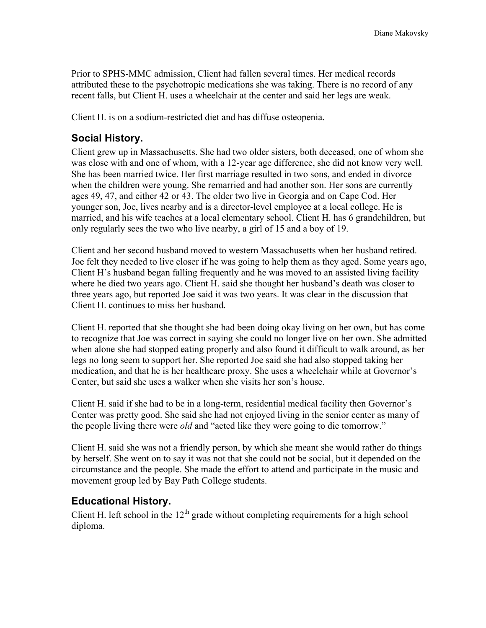Prior to SPHS-MMC admission, Client had fallen several times. Her medical records attributed these to the psychotropic medications she was taking. There is no record of any recent falls, but Client H. uses a wheelchair at the center and said her legs are weak.

Client H. is on a sodium-restricted diet and has diffuse osteopenia.

#### **Social History.**

Client grew up in Massachusetts. She had two older sisters, both deceased, one of whom she was close with and one of whom, with a 12-year age difference, she did not know very well. She has been married twice. Her first marriage resulted in two sons, and ended in divorce when the children were young. She remarried and had another son. Her sons are currently ages 49, 47, and either 42 or 43. The older two live in Georgia and on Cape Cod. Her younger son, Joe, lives nearby and is a director-level employee at a local college. He is married, and his wife teaches at a local elementary school. Client H. has 6 grandchildren, but only regularly sees the two who live nearby, a girl of 15 and a boy of 19.

Client and her second husband moved to western Massachusetts when her husband retired. Joe felt they needed to live closer if he was going to help them as they aged. Some years ago, Client H's husband began falling frequently and he was moved to an assisted living facility where he died two years ago. Client H. said she thought her husband's death was closer to three years ago, but reported Joe said it was two years. It was clear in the discussion that Client H. continues to miss her husband.

Client H. reported that she thought she had been doing okay living on her own, but has come to recognize that Joe was correct in saying she could no longer live on her own. She admitted when alone she had stopped eating properly and also found it difficult to walk around, as her legs no long seem to support her. She reported Joe said she had also stopped taking her medication, and that he is her healthcare proxy. She uses a wheelchair while at Governor's Center, but said she uses a walker when she visits her son's house.

Client H. said if she had to be in a long-term, residential medical facility then Governor's Center was pretty good. She said she had not enjoyed living in the senior center as many of the people living there were *old* and "acted like they were going to die tomorrow."

Client H. said she was not a friendly person, by which she meant she would rather do things by herself. She went on to say it was not that she could not be social, but it depended on the circumstance and the people. She made the effort to attend and participate in the music and movement group led by Bay Path College students.

#### **Educational History.**

Client H. left school in the  $12<sup>th</sup>$  grade without completing requirements for a high school diploma.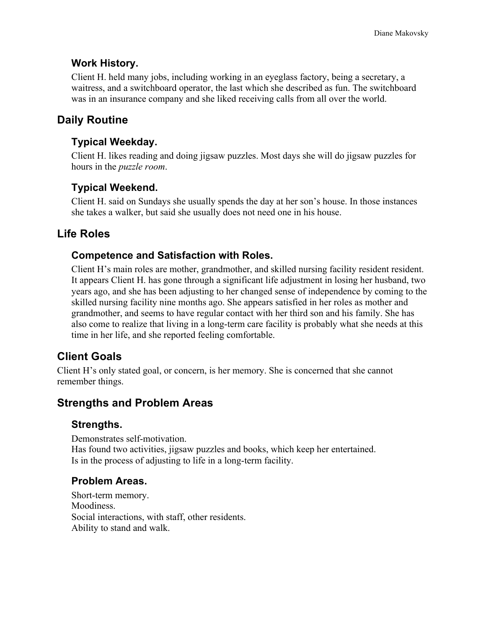#### **Work History.**

Client H. held many jobs, including working in an eyeglass factory, being a secretary, a waitress, and a switchboard operator, the last which she described as fun. The switchboard was in an insurance company and she liked receiving calls from all over the world.

# **Daily Routine**

#### **Typical Weekday.**

Client H. likes reading and doing jigsaw puzzles. Most days she will do jigsaw puzzles for hours in the *puzzle room*.

## **Typical Weekend.**

Client H. said on Sundays she usually spends the day at her son's house. In those instances she takes a walker, but said she usually does not need one in his house.

## **Life Roles**

## **Competence and Satisfaction with Roles.**

Client H's main roles are mother, grandmother, and skilled nursing facility resident resident. It appears Client H. has gone through a significant life adjustment in losing her husband, two years ago, and she has been adjusting to her changed sense of independence by coming to the skilled nursing facility nine months ago. She appears satisfied in her roles as mother and grandmother, and seems to have regular contact with her third son and his family. She has also come to realize that living in a long-term care facility is probably what she needs at this time in her life, and she reported feeling comfortable.

# **Client Goals**

Client H's only stated goal, or concern, is her memory. She is concerned that she cannot remember things.

## **Strengths and Problem Areas**

#### **Strengths.**

Demonstrates self-motivation. Has found two activities, jigsaw puzzles and books, which keep her entertained. Is in the process of adjusting to life in a long-term facility.

## **Problem Areas.**

Short-term memory. Moodiness. Social interactions, with staff, other residents. Ability to stand and walk.